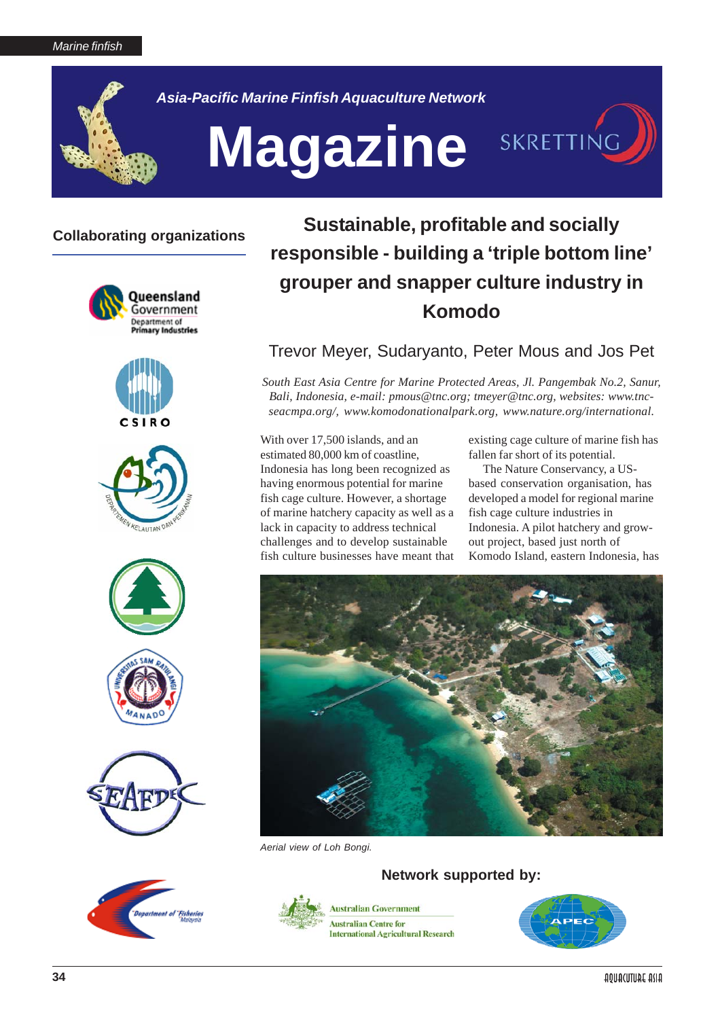

*Asia-Pacific Marine Finfish Aquaculture Network*

# Magazine SKRETTING

## **Collaborating organizations**















# **Sustainable, profitable and socially responsible - building a 'triple bottom line' grouper and snapper culture industry in Komodo**

### Trevor Meyer, Sudaryanto, Peter Mous and Jos Pet

*South East Asia Centre for Marine Protected Areas, Jl. Pangembak No.2, Sanur, Bali, Indonesia, e-mail: pmous@tnc.org; tmeyer@tnc.org, websites: www.tncseacmpa.org/, www.komodonationalpark.org, www.nature.org/international.*

With over 17,500 islands, and an estimated 80,000 km of coastline, Indonesia has long been recognized as having enormous potential for marine fish cage culture. However, a shortage of marine hatchery capacity as well as a lack in capacity to address technical challenges and to develop sustainable fish culture businesses have meant that

existing cage culture of marine fish has fallen far short of its potential.

The Nature Conservancy, a USbased conservation organisation, has developed a model for regional marine fish cage culture industries in Indonesia. A pilot hatchery and growout project, based just north of Komodo Island, eastern Indonesia, has



*Aerial view of Loh Bongi.*

**Network supported by:**



**Australian Government Australian Centre for International Agricultural Research** 

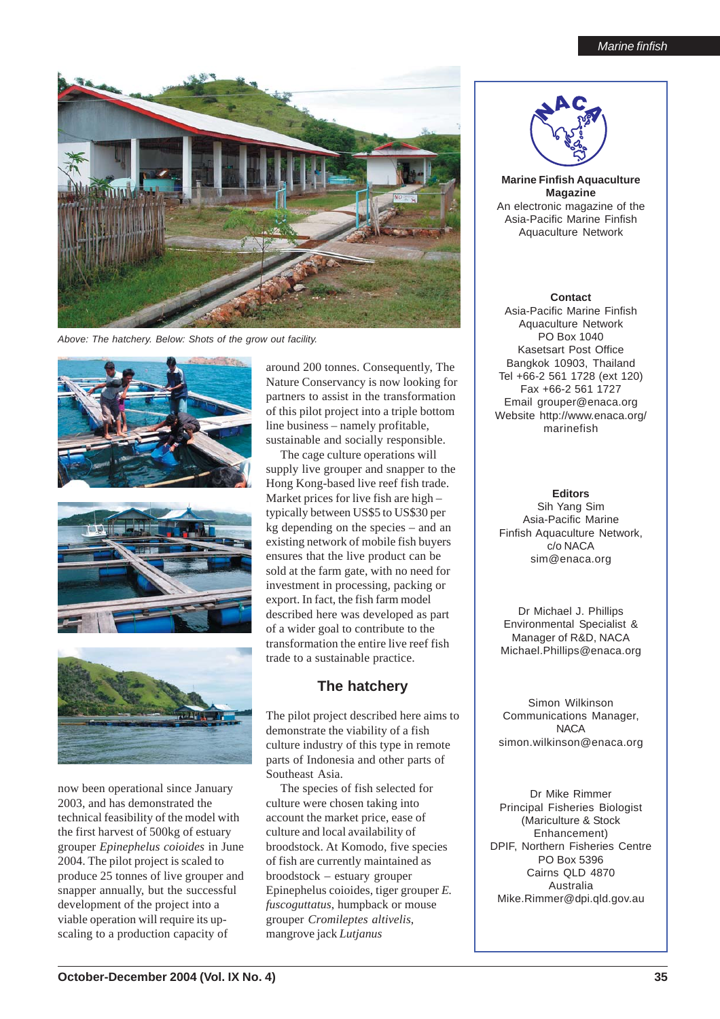

*Above: The hatchery. Below: Shots of the grow out facility.*







now been operational since January 2003, and has demonstrated the technical feasibility of the model with the first harvest of 500kg of estuary grouper *Epinephelus coioides* in June 2004. The pilot project is scaled to produce 25 tonnes of live grouper and snapper annually, but the successful development of the project into a viable operation will require its upscaling to a production capacity of

around 200 tonnes. Consequently, The Nature Conservancy is now looking for partners to assist in the transformation of this pilot project into a triple bottom line business – namely profitable, sustainable and socially responsible.

The cage culture operations will supply live grouper and snapper to the Hong Kong-based live reef fish trade. Market prices for live fish are high – typically between US\$5 to US\$30 per kg depending on the species – and an existing network of mobile fish buyers ensures that the live product can be sold at the farm gate, with no need for investment in processing, packing or export. In fact, the fish farm model described here was developed as part of a wider goal to contribute to the transformation the entire live reef fish trade to a sustainable practice.

#### **The hatchery**

The pilot project described here aims to demonstrate the viability of a fish culture industry of this type in remote parts of Indonesia and other parts of Southeast Asia.

The species of fish selected for culture were chosen taking into account the market price, ease of culture and local availability of broodstock. At Komodo, five species of fish are currently maintained as broodstock – estuary grouper Epinephelus coioides, tiger grouper *E. fuscoguttatus*, humpback or mouse grouper *Cromileptes altivelis*, mangrove jack *Lutjanus*



**Marine Finfish Aquaculture Magazine** An electronic magazine of the Asia-Pacific Marine Finfish Aquaculture Network

**Contact** Asia-Pacific Marine Finfish Aquaculture Network PO Box 1040 Kasetsart Post Office Bangkok 10903, Thailand Tel +66-2 561 1728 (ext 120) Fax +66-2 561 1727 Email grouper@enaca.org Website http://www.enaca.org/ marinefish

#### **Editors**

Sih Yang Sim Asia-Pacific Marine Finfish Aquaculture Network, c/o NACA sim@enaca.org

Dr Michael J. Phillips Environmental Specialist & Manager of R&D, NACA Michael.Phillips@enaca.org

Simon Wilkinson Communications Manager, **NACA** simon.wilkinson@enaca.org

Dr Mike Rimmer Principal Fisheries Biologist (Mariculture & Stock Enhancement) DPIF, Northern Fisheries Centre PO Box 5396 Cairns QLD 4870 Australia Mike.Rimmer@dpi.qld.gov.au